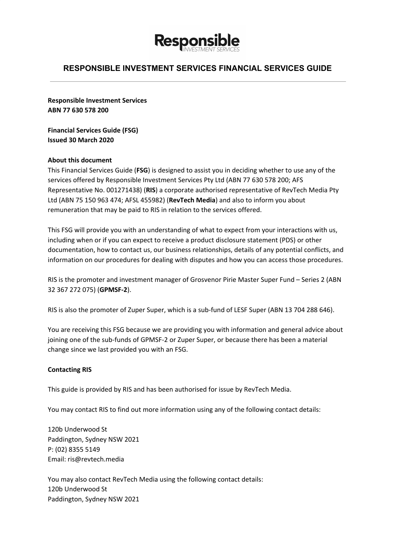

**Responsible Investment Services ABN 77 630 578 200**

**Financial Services Guide (FSG) Issued 30 March 2020**

### **About this document**

This Financial Services Guide (**FSG**) is designed to assist you in deciding whether to use any of the services offered by Responsible Investment Services Pty Ltd (ABN 77 630 578 200; AFS Representative No. 001271438) (**RIS**) a corporate authorised representative of RevTech Media Pty Ltd (ABN 75 150 963 474; AFSL 455982) (**RevTech Media**) and also to inform you about remuneration that may be paid to RIS in relation to the services offered.

This FSG will provide you with an understanding of what to expect from your interactions with us, including when or if you can expect to receive a product disclosure statement (PDS) or other documentation, how to contact us, our business relationships, details of any potential conflicts, and information on our procedures for dealing with disputes and how you can access those procedures.

RIS is the promoter and investment manager of Grosvenor Pirie Master Super Fund – Series 2 (ABN 32 367 272 075) (**GPMSF-2**).

RIS is also the promoter of Zuper Super, which is a sub-fund of LESF Super (ABN 13 704 288 646).

You are receiving this FSG because we are providing you with information and general advice about joining one of the sub-funds of GPMSF-2 or Zuper Super, or because there has been a material change since we last provided you with an FSG.

### **Contacting RIS**

This guide is provided by RIS and has been authorised for issue by RevTech Media.

You may contact RIS to find out more information using any of the following contact details:

120b Underwood St Paddington, Sydney NSW 2021 P: (02) 8355 5149 Email: ris@revtech.media

You may also contact RevTech Media using the following contact details: 120b Underwood St Paddington, Sydney NSW 2021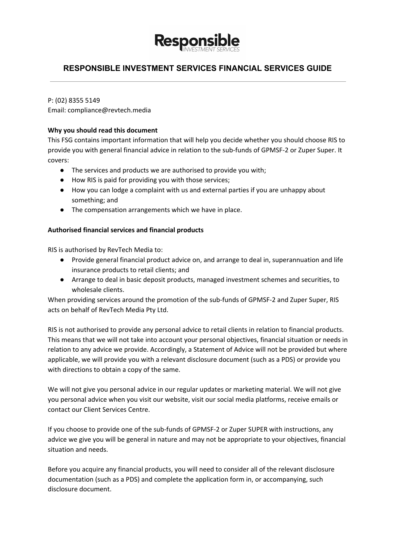

P: (02) 8355 5149

Email: compliance@revtech.media

# **Why you should read this document**

This FSG contains important information that will help you decide whether you should choose RIS to provide you with general financial advice in relation to the sub-funds of GPMSF-2 or Zuper Super. It covers:

- The services and products we are authorised to provide you with;
- How RIS is paid for providing you with those services;
- How you can lodge a complaint with us and external parties if you are unhappy about something; and
- The compensation arrangements which we have in place.

# **Authorised financial services and financial products**

RIS is authorised by RevTech Media to:

- Provide general financial product advice on, and arrange to deal in, superannuation and life insurance products to retail clients; and
- Arrange to deal in basic deposit products, managed investment schemes and securities, to wholesale clients.

When providing services around the promotion of the sub-funds of GPMSF-2 and Zuper Super, RIS acts on behalf of RevTech Media Pty Ltd.

RIS is not authorised to provide any personal advice to retail clients in relation to financial products. This means that we will not take into account your personal objectives, financial situation or needs in relation to any advice we provide. Accordingly, a Statement of Advice will not be provided but where applicable, we will provide you with a relevant disclosure document (such as a PDS) or provide you with directions to obtain a copy of the same.

We will not give you personal advice in our regular updates or marketing material. We will not give you personal advice when you visit our website, visit our social media platforms, receive emails or contact our Client Services Centre.

If you choose to provide one of the sub-funds of GPMSF-2 or Zuper SUPER with instructions, any advice we give you will be general in nature and may not be appropriate to your objectives, financial situation and needs.

Before you acquire any financial products, you will need to consider all of the relevant disclosure documentation (such as a PDS) and complete the application form in, or accompanying, such disclosure document.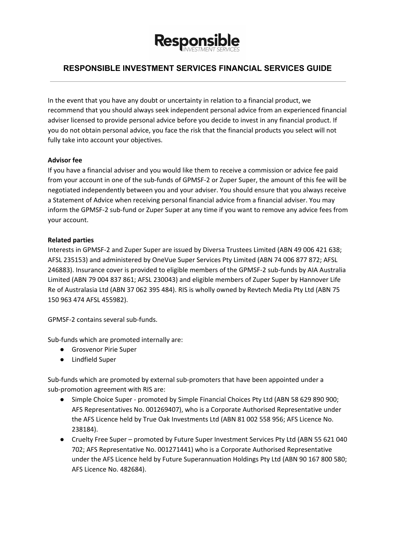

In the event that you have any doubt or uncertainty in relation to a financial product, we recommend that you should always seek independent personal advice from an experienced financial adviser licensed to provide personal advice before you decide to invest in any financial product. If you do not obtain personal advice, you face the risk that the financial products you select will not fully take into account your objectives.

## **Advisor fee**

If you have a financial adviser and you would like them to receive a commission or advice fee paid from your account in one of the sub-funds of GPMSF-2 or Zuper Super, the amount of this fee will be negotiated independently between you and your adviser. You should ensure that you always receive a Statement of Advice when receiving personal financial advice from a financial adviser. You may inform the GPMSF-2 sub-fund or Zuper Super at any time if you want to remove any advice fees from your account.

## **Related parties**

Interests in GPMSF-2 and Zuper Super are issued by Diversa Trustees Limited (ABN 49 006 421 638; AFSL 235153) and administered by OneVue Super Services Pty Limited (ABN 74 006 877 872; AFSL 246883). Insurance cover is provided to eligible members of the GPMSF-2 sub-funds by AIA Australia Limited (ABN 79 004 837 861; AFSL 230043) and eligible members of Zuper Super by Hannover Life Re of Australasia Ltd (ABN 37 062 395 484). RIS is wholly owned by Revtech Media Pty Ltd (ABN 75 150 963 474 AFSL 455982).

GPMSF-2 contains several sub-funds.

Sub-funds which are promoted internally are:

- Grosvenor Pirie Super
- Lindfield Super

Sub-funds which are promoted by external sub-promoters that have been appointed under a sub-promotion agreement with RIS are:

- Simple Choice Super promoted by Simple Financial Choices Pty Ltd (ABN 58 629 890 900; AFS Representatives No. 001269407), who is a Corporate Authorised Representative under the AFS Licence held by True Oak Investments Ltd (ABN 81 002 558 956; AFS Licence No. 238184).
- Cruelty Free Super promoted by Future Super Investment Services Pty Ltd (ABN 55 621 040 702; AFS Representative No. 001271441) who is a Corporate Authorised Representative under the AFS Licence held by Future Superannuation Holdings Pty Ltd (ABN 90 167 800 580; AFS Licence No. 482684).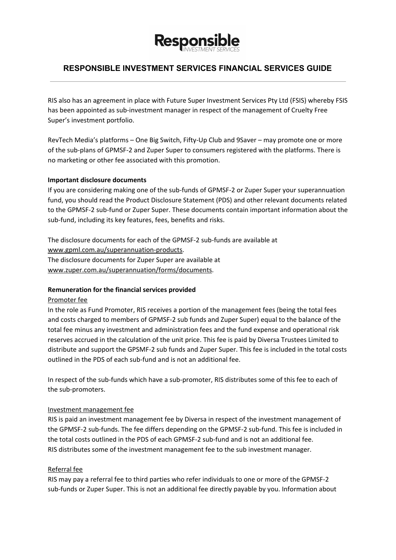

RIS also has an agreement in place with Future Super Investment Services Pty Ltd (FSIS) whereby FSIS has been appointed as sub-investment manager in respect of the management of Cruelty Free Super's investment portfolio.

RevTech Media's platforms – One Big Switch, Fifty-Up Club and 9Saver – may promote one or more of the sub-plans of GPMSF-2 and Zuper Super to consumers registered with the platforms. There is no marketing or other fee associated with this promotion.

## **Important disclosure documents**

If you are considering making one of the sub-funds of GPMSF-2 or Zuper Super your superannuation fund, you should read the Product Disclosure Statement (PDS) and other relevant documents related to the GPMSF-2 sub-fund or Zuper Super. These documents contain important information about the sub-fund, including its key features, fees, benefits and risks.

The disclosure documents for each of the GPMSF-2 sub-funds are available at [www.gpml.com.au/superannuation-products.](http://www.gpml.com.au/superannuation-products) The disclosure documents for Zuper Super are available at [www.zuper.com.au/superannuation/forms/documents](http://www.zuper.com.au/superannuation/forms/documents).

### **Remuneration for the financial services provided**

### Promoter fee

In the role as Fund Promoter, RIS receives a portion of the management fees (being the total fees and costs charged to members of GPMSF-2 sub funds and Zuper Super) equal to the balance of the total fee minus any investment and administration fees and the fund expense and operational risk reserves accrued in the calculation of the unit price. This fee is paid by Diversa Trustees Limited to distribute and support the GPSMF-2 sub funds and Zuper Super. This fee is included in the total costs outlined in the PDS of each sub-fund and is not an additional fee.

In respect of the sub-funds which have a sub-promoter, RIS distributes some of this fee to each of the sub-promoters.

### Investment management fee

RIS is paid an investment management fee by Diversa in respect of the investment management of the GPMSF-2 sub-funds. The fee differs depending on the GPMSF-2 sub-fund. This fee is included in the total costs outlined in the PDS of each GPMSF-2 sub-fund and is not an additional fee. RIS distributes some of the investment management fee to the sub investment manager.

# Referral fee

RIS may pay a referral fee to third parties who refer individuals to one or more of the GPMSF-2 sub-funds or Zuper Super. This is not an additional fee directly payable by you. Information about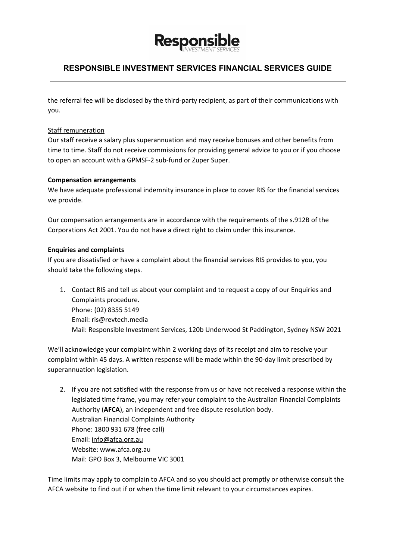

the referral fee will be disclosed by the third-party recipient, as part of their communications with you.

## Staff remuneration

Our staff receive a salary plus superannuation and may receive bonuses and other benefits from time to time. Staff do not receive commissions for providing general advice to you or if you choose to open an account with a GPMSF-2 sub-fund or Zuper Super.

## **Compensation arrangements**

We have adequate professional indemnity insurance in place to cover RIS for the financial services we provide.

Our compensation arrangements are in accordance with the requirements of the s.912B of the Corporations Act 2001. You do not have a direct right to claim under this insurance.

## **Enquiries and complaints**

If you are dissatisfied or have a complaint about the financial services RIS provides to you, you should take the following steps.

1. Contact RIS and tell us about your complaint and to request a copy of our Enquiries and Complaints procedure. Phone: (02) 8355 5149 Email: ris@revtech.media Mail: Responsible Investment Services, 120b Underwood St Paddington, Sydney NSW 2021

We'll acknowledge your complaint within 2 working days of its receipt and aim to resolve your complaint within 45 days. A written response will be made within the 90-day limit prescribed by superannuation legislation.

2. If you are not satisfied with the response from us or have not received a response within the legislated time frame, you may refer your complaint to the Australian Financial Complaints Authority (**AFCA**), an independent and free dispute resolution body. Australian Financial Complaints Authority Phone: 1800 931 678 (free call) Email: [info@afca.org.au](mailto:info@afca.org.au) Website: www.afca.org.au Mail: GPO Box 3, Melbourne VIC 3001

Time limits may apply to complain to AFCA and so you should act promptly or otherwise consult the AFCA website to find out if or when the time limit relevant to your circumstances expires.